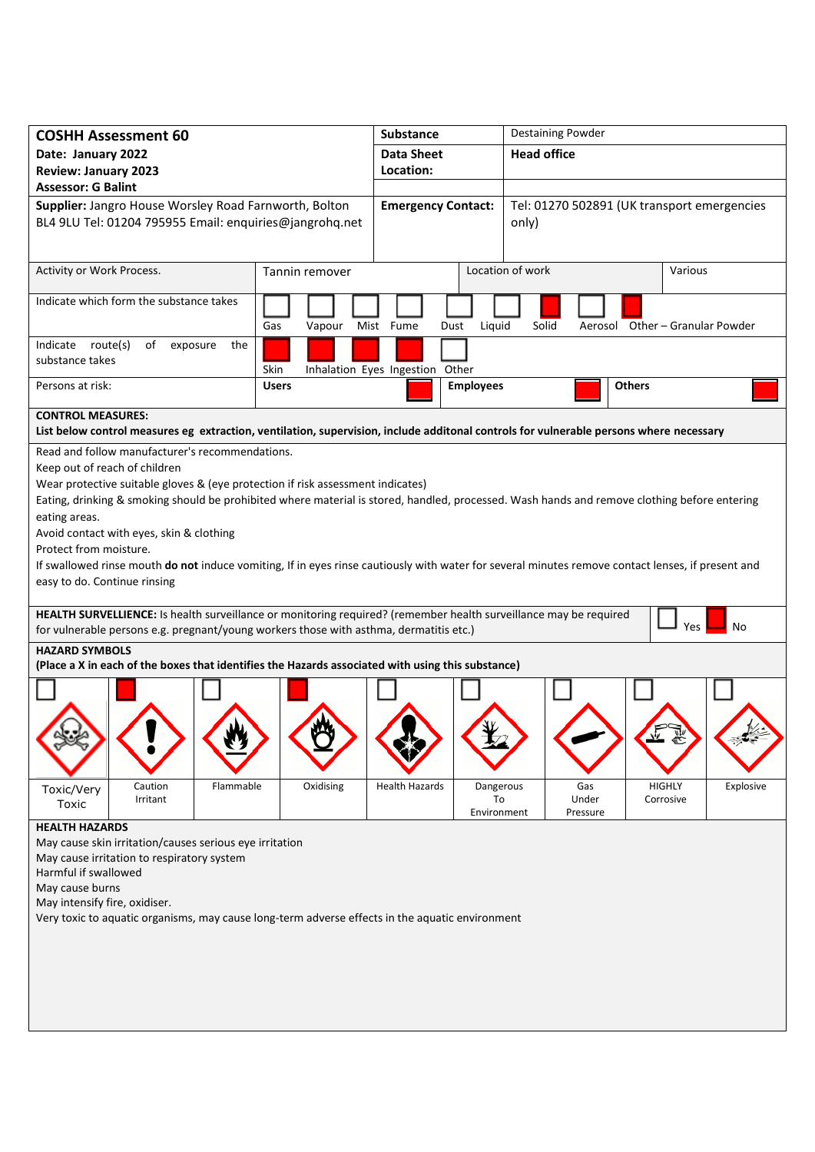| <b>COSHH Assessment 60</b>                                                                                                                                                                                                                                                                                                                                                                                                                                                                                                                                                                                                                                                                                                                                                                                                                                                                                                                                |           | <b>Substance</b>                |                                | Destaining Powder                                    |                          |                                 |           |  |
|-----------------------------------------------------------------------------------------------------------------------------------------------------------------------------------------------------------------------------------------------------------------------------------------------------------------------------------------------------------------------------------------------------------------------------------------------------------------------------------------------------------------------------------------------------------------------------------------------------------------------------------------------------------------------------------------------------------------------------------------------------------------------------------------------------------------------------------------------------------------------------------------------------------------------------------------------------------|-----------|---------------------------------|--------------------------------|------------------------------------------------------|--------------------------|---------------------------------|-----------|--|
| Date: January 2022                                                                                                                                                                                                                                                                                                                                                                                                                                                                                                                                                                                                                                                                                                                                                                                                                                                                                                                                        |           | <b>Data Sheet</b>               |                                | <b>Head office</b>                                   |                          |                                 |           |  |
| <b>Review: January 2023</b>                                                                                                                                                                                                                                                                                                                                                                                                                                                                                                                                                                                                                                                                                                                                                                                                                                                                                                                               |           | Location:                       |                                |                                                      |                          |                                 |           |  |
| <b>Assessor: G Balint</b>                                                                                                                                                                                                                                                                                                                                                                                                                                                                                                                                                                                                                                                                                                                                                                                                                                                                                                                                 |           |                                 |                                |                                                      |                          |                                 |           |  |
| Supplier: Jangro House Worsley Road Farnworth, Bolton<br>BL4 9LU Tel: 01204 795955 Email: enquiries@jangrohq.net                                                                                                                                                                                                                                                                                                                                                                                                                                                                                                                                                                                                                                                                                                                                                                                                                                          |           | <b>Emergency Contact:</b>       |                                | Tel: 01270 502891 (UK transport emergencies<br>only) |                          |                                 |           |  |
| Activity or Work Process.<br>Tannin remover                                                                                                                                                                                                                                                                                                                                                                                                                                                                                                                                                                                                                                                                                                                                                                                                                                                                                                               |           |                                 |                                | Location of work                                     |                          |                                 | Various   |  |
| Indicate which form the substance takes<br>Gas                                                                                                                                                                                                                                                                                                                                                                                                                                                                                                                                                                                                                                                                                                                                                                                                                                                                                                            | Vapour    | Mist Fume<br>Dust               | Liquid                         | Solid                                                |                          | Aerosol Other - Granular Powder |           |  |
| Indicate route(s)<br>of<br>exposure<br>the<br>substance takes                                                                                                                                                                                                                                                                                                                                                                                                                                                                                                                                                                                                                                                                                                                                                                                                                                                                                             |           |                                 |                                |                                                      |                          |                                 |           |  |
| Skin<br>Persons at risk:<br><b>Users</b>                                                                                                                                                                                                                                                                                                                                                                                                                                                                                                                                                                                                                                                                                                                                                                                                                                                                                                                  |           | Inhalation Eyes Ingestion Other | <b>Employees</b>               |                                                      |                          | <b>Others</b>                   |           |  |
| <b>CONTROL MEASURES:</b>                                                                                                                                                                                                                                                                                                                                                                                                                                                                                                                                                                                                                                                                                                                                                                                                                                                                                                                                  |           |                                 |                                |                                                      |                          |                                 |           |  |
| List below control measures eg extraction, ventilation, supervision, include additonal controls for vulnerable persons where necessary                                                                                                                                                                                                                                                                                                                                                                                                                                                                                                                                                                                                                                                                                                                                                                                                                    |           |                                 |                                |                                                      |                          |                                 |           |  |
| Read and follow manufacturer's recommendations.<br>Keep out of reach of children<br>Wear protective suitable gloves & (eye protection if risk assessment indicates)<br>Eating, drinking & smoking should be prohibited where material is stored, handled, processed. Wash hands and remove clothing before entering<br>eating areas.<br>Avoid contact with eyes, skin & clothing<br>Protect from moisture.<br>If swallowed rinse mouth do not induce vomiting, If in eyes rinse cautiously with water for several minutes remove contact lenses, if present and<br>easy to do. Continue rinsing<br>HEALTH SURVELLIENCE: Is health surveillance or monitoring required? (remember health surveillance may be required<br>Yes<br>No<br>for vulnerable persons e.g. pregnant/young workers those with asthma, dermatitis etc.)<br><b>HAZARD SYMBOLS</b><br>(Place a X in each of the boxes that identifies the Hazards associated with using this substance) |           |                                 |                                |                                                      |                          |                                 |           |  |
| Flammable<br>Caution<br>Toxic/Very<br>Irritant<br><b>Toxic</b>                                                                                                                                                                                                                                                                                                                                                                                                                                                                                                                                                                                                                                                                                                                                                                                                                                                                                            | Oxidising | <b>Health Hazards</b>           | Dangerous<br>To<br>Environment |                                                      | Gas<br>Under<br>Pressure | <b>HIGHLY</b><br>Corrosive      | Explosive |  |
| <b>HEALTH HAZARDS</b>                                                                                                                                                                                                                                                                                                                                                                                                                                                                                                                                                                                                                                                                                                                                                                                                                                                                                                                                     |           |                                 |                                |                                                      |                          |                                 |           |  |
| May cause skin irritation/causes serious eye irritation<br>May cause irritation to respiratory system<br>Harmful if swallowed<br>May cause burns<br>May intensify fire, oxidiser.<br>Very toxic to aquatic organisms, may cause long-term adverse effects in the aquatic environment                                                                                                                                                                                                                                                                                                                                                                                                                                                                                                                                                                                                                                                                      |           |                                 |                                |                                                      |                          |                                 |           |  |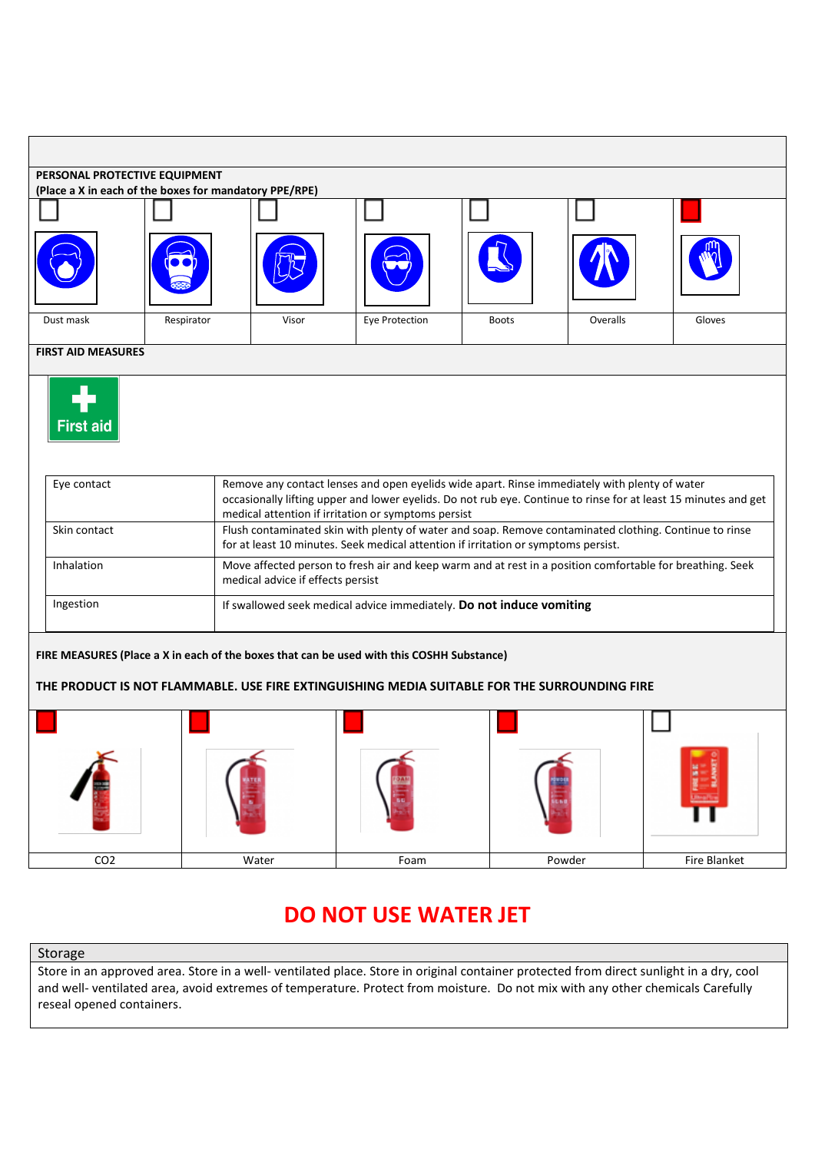

## **DO NOT USE WATER JET**

Storage

Store in an approved area. Store in a well- ventilated place. Store in original container protected from direct sunlight in a dry, cool and well- ventilated area, avoid extremes of temperature. Protect from moisture. Do not mix with any other chemicals Carefully reseal opened containers.